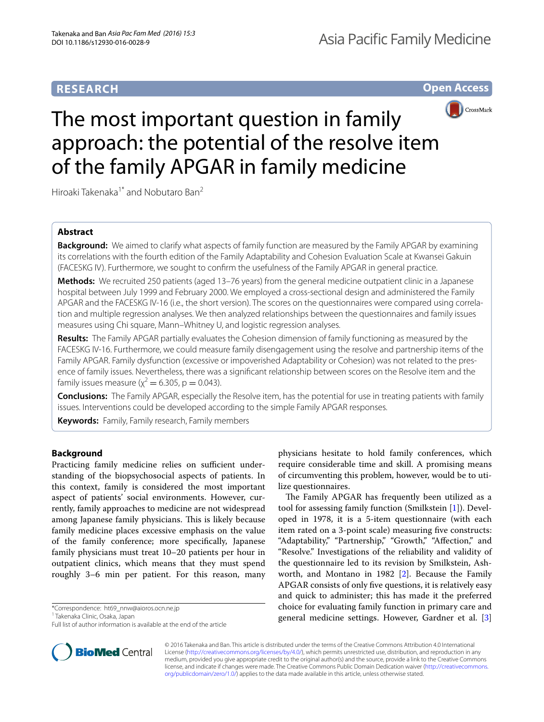## **RESEARCH**

**Open Access**



# The most important question in family approach: the potential of the resolve item of the family APGAR in family medicine

Hiroaki Takenaka<sup>1\*</sup> and Nobutaro Ban<sup>2</sup>

## **Abstract**

**Background:** We aimed to clarify what aspects of family function are measured by the Family APGAR by examining its correlations with the fourth edition of the Family Adaptability and Cohesion Evaluation Scale at Kwansei Gakuin (FACESKG IV). Furthermore, we sought to confirm the usefulness of the Family APGAR in general practice.

**Methods:** We recruited 250 patients (aged 13–76 years) from the general medicine outpatient clinic in a Japanese hospital between July 1999 and February 2000. We employed a cross-sectional design and administered the Family APGAR and the FACESKG IV-16 (i.e., the short version). The scores on the questionnaires were compared using correlation and multiple regression analyses. We then analyzed relationships between the questionnaires and family issues measures using Chi square, Mann–Whitney U, and logistic regression analyses.

**Results:** The Family APGAR partially evaluates the Cohesion dimension of family functioning as measured by the FACESKG IV-16. Furthermore, we could measure family disengagement using the resolve and partnership items of the Family APGAR. Family dysfunction (excessive or impoverished Adaptability or Cohesion) was not related to the presence of family issues. Nevertheless, there was a significant relationship between scores on the Resolve item and the family issues measure ( $x^2 = 6.305$ , p = 0.043).

**Conclusions:** The Family APGAR, especially the Resolve item, has the potential for use in treating patients with family issues. Interventions could be developed according to the simple Family APGAR responses.

**Keywords:** Family, Family research, Family members

## **Background**

Practicing family medicine relies on sufficient understanding of the biopsychosocial aspects of patients. In this context, family is considered the most important aspect of patients' social environments. However, currently, family approaches to medicine are not widespread among Japanese family physicians. This is likely because family medicine places excessive emphasis on the value of the family conference; more specifically, Japanese family physicians must treat 10–20 patients per hour in outpatient clinics, which means that they must spend roughly 3–6 min per patient. For this reason, many

1 Takenaka Clinic, Osaka, Japan



The Family APGAR has frequently been utilized as a tool for assessing family function (Smilkstein [\[1](#page-6-0)]). Developed in 1978, it is a 5-item questionnaire (with each item rated on a 3-point scale) measuring five constructs: "Adaptability," "Partnership," "Growth," "Affection," and "Resolve." Investigations of the reliability and validity of the questionnaire led to its revision by Smilkstein, Ashworth, and Montano in 1982 [\[2\]](#page-6-1). Because the Family APGAR consists of only five questions, it is relatively easy and quick to administer; this has made it the preferred choice for evaluating family function in primary care and general medicine settings. However, Gardner et al. [\[3](#page-6-2)]



© 2016 Takenaka and Ban. This article is distributed under the terms of the Creative Commons Attribution 4.0 International License (<http://creativecommons.org/licenses/by/4.0/>), which permits unrestricted use, distribution, and reproduction in any medium, provided you give appropriate credit to the original author(s) and the source, provide a link to the Creative Commons license, and indicate if changes were made. The Creative Commons Public Domain Dedication waiver ([http://creativecommons.](http://creativecommons.org/publicdomain/zero/1.0/) [org/publicdomain/zero/1.0/](http://creativecommons.org/publicdomain/zero/1.0/)) applies to the data made available in this article, unless otherwise stated.

<sup>\*</sup>Correspondence: ht69\_nnw@aioros.ocn.ne.jp

Full list of author information is available at the end of the article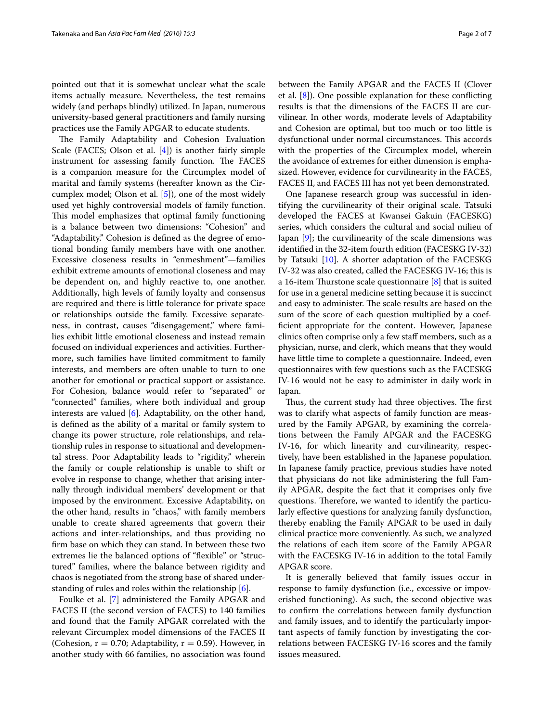pointed out that it is somewhat unclear what the scale items actually measure. Nevertheless, the test remains widely (and perhaps blindly) utilized. In Japan, numerous university-based general practitioners and family nursing practices use the Family APGAR to educate students.

The Family Adaptability and Cohesion Evaluation Scale (FACES; Olson et al. [\[4](#page-6-3)]) is another fairly simple instrument for assessing family function. The FACES is a companion measure for the Circumplex model of marital and family systems (hereafter known as the Circumplex model; Olson et al. [\[5](#page-6-4)]), one of the most widely used yet highly controversial models of family function. This model emphasizes that optimal family functioning is a balance between two dimensions: "Cohesion" and "Adaptability." Cohesion is defined as the degree of emotional bonding family members have with one another. Excessive closeness results in "enmeshment"—families exhibit extreme amounts of emotional closeness and may be dependent on, and highly reactive to, one another. Additionally, high levels of family loyalty and consensus are required and there is little tolerance for private space or relationships outside the family. Excessive separateness, in contrast, causes "disengagement," where families exhibit little emotional closeness and instead remain focused on individual experiences and activities. Furthermore, such families have limited commitment to family interests, and members are often unable to turn to one another for emotional or practical support or assistance. For Cohesion, balance would refer to "separated" or "connected" families, where both individual and group interests are valued [[6\]](#page-6-5). Adaptability, on the other hand, is defined as the ability of a marital or family system to change its power structure, role relationships, and relationship rules in response to situational and developmental stress. Poor Adaptability leads to "rigidity," wherein the family or couple relationship is unable to shift or evolve in response to change, whether that arising internally through individual members' development or that imposed by the environment. Excessive Adaptability, on the other hand, results in "chaos," with family members unable to create shared agreements that govern their actions and inter-relationships, and thus providing no firm base on which they can stand. In between these two extremes lie the balanced options of "flexible" or "structured" families, where the balance between rigidity and chaos is negotiated from the strong base of shared understanding of rules and roles within the relationship [\[6](#page-6-5)].

Foulke et al. [[7](#page-6-6)] administered the Family APGAR and FACES II (the second version of FACES) to 140 families and found that the Family APGAR correlated with the relevant Circumplex model dimensions of the FACES II (Cohesion,  $r = 0.70$ ; Adaptability,  $r = 0.59$ ). However, in another study with 66 families, no association was found between the Family APGAR and the FACES II (Clover et al. [\[8](#page-6-7)]). One possible explanation for these conflicting results is that the dimensions of the FACES II are curvilinear. In other words, moderate levels of Adaptability and Cohesion are optimal, but too much or too little is dysfunctional under normal circumstances. This accords with the properties of the Circumplex model, wherein the avoidance of extremes for either dimension is emphasized. However, evidence for curvilinearity in the FACES, FACES II, and FACES III has not yet been demonstrated.

One Japanese research group was successful in identifying the curvilinearity of their original scale. Tatsuki developed the FACES at Kwansei Gakuin (FACESKG) series, which considers the cultural and social milieu of Japan [[9\]](#page-6-8); the curvilinearity of the scale dimensions was identified in the 32-item fourth edition (FACESKG IV-32) by Tatsuki [[10](#page-6-9)]. A shorter adaptation of the FACESKG IV-32 was also created, called the FACESKG IV-16; this is a 16-item Thurstone scale questionnaire [\[8](#page-6-7)] that is suited for use in a general medicine setting because it is succinct and easy to administer. The scale results are based on the sum of the score of each question multiplied by a coefficient appropriate for the content. However, Japanese clinics often comprise only a few staff members, such as a physician, nurse, and clerk, which means that they would have little time to complete a questionnaire. Indeed, even questionnaires with few questions such as the FACESKG IV-16 would not be easy to administer in daily work in Japan.

Thus, the current study had three objectives. The first was to clarify what aspects of family function are measured by the Family APGAR, by examining the correlations between the Family APGAR and the FACESKG IV-16, for which linearity and curvilinearity, respectively, have been established in the Japanese population. In Japanese family practice, previous studies have noted that physicians do not like administering the full Family APGAR, despite the fact that it comprises only five questions. Therefore, we wanted to identify the particularly effective questions for analyzing family dysfunction, thereby enabling the Family APGAR to be used in daily clinical practice more conveniently. As such, we analyzed the relations of each item score of the Family APGAR with the FACESKG IV-16 in addition to the total Family APGAR score.

It is generally believed that family issues occur in response to family dysfunction (i.e., excessive or impoverished functioning). As such, the second objective was to confirm the correlations between family dysfunction and family issues, and to identify the particularly important aspects of family function by investigating the correlations between FACESKG IV-16 scores and the family issues measured.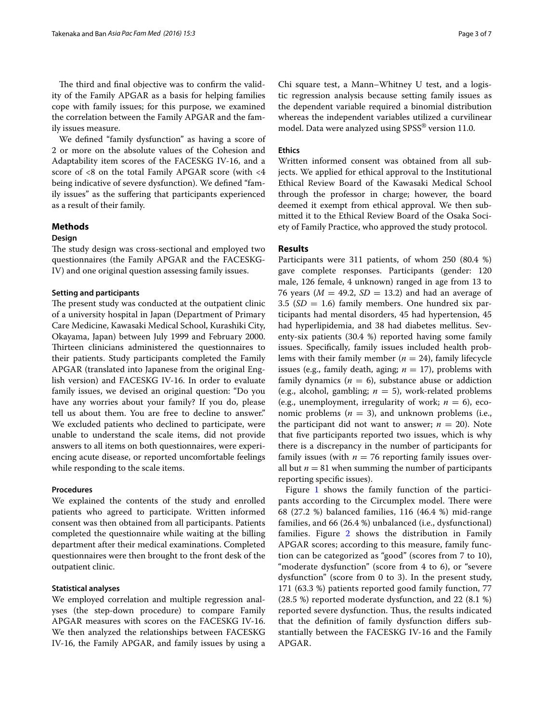The third and final objective was to confirm the validity of the Family APGAR as a basis for helping families cope with family issues; for this purpose, we examined the correlation between the Family APGAR and the family issues measure.

We defined "family dysfunction" as having a score of 2 or more on the absolute values of the Cohesion and Adaptability item scores of the FACESKG IV-16, and a score of <8 on the total Family APGAR score (with <4 being indicative of severe dysfunction). We defined "family issues" as the suffering that participants experienced as a result of their family.

## **Methods**

### **Design**

The study design was cross-sectional and employed two questionnaires (the Family APGAR and the FACESKG-IV) and one original question assessing family issues.

#### **Setting and participants**

The present study was conducted at the outpatient clinic of a university hospital in Japan (Department of Primary Care Medicine, Kawasaki Medical School, Kurashiki City, Okayama, Japan) between July 1999 and February 2000. Thirteen clinicians administered the questionnaires to their patients. Study participants completed the Family APGAR (translated into Japanese from the original English version) and FACESKG IV-16. In order to evaluate family issues, we devised an original question: "Do you have any worries about your family? If you do, please tell us about them. You are free to decline to answer." We excluded patients who declined to participate, were unable to understand the scale items, did not provide answers to all items on both questionnaires, were experiencing acute disease, or reported uncomfortable feelings while responding to the scale items.

#### **Procedures**

We explained the contents of the study and enrolled patients who agreed to participate. Written informed consent was then obtained from all participants. Patients completed the questionnaire while waiting at the billing department after their medical examinations. Completed questionnaires were then brought to the front desk of the outpatient clinic.

#### **Statistical analyses**

We employed correlation and multiple regression analyses (the step-down procedure) to compare Family APGAR measures with scores on the FACESKG IV-16. We then analyzed the relationships between FACESKG IV-16, the Family APGAR, and family issues by using a Chi square test, a Mann–Whitney U test, and a logistic regression analysis because setting family issues as the dependent variable required a binomial distribution whereas the independent variables utilized a curvilinear model. Data were analyzed using SPSS® version 11.0.

#### **Ethics**

Written informed consent was obtained from all subjects. We applied for ethical approval to the Institutional Ethical Review Board of the Kawasaki Medical School through the professor in charge; however, the board deemed it exempt from ethical approval. We then submitted it to the Ethical Review Board of the Osaka Society of Family Practice, who approved the study protocol.

#### **Results**

Participants were 311 patients, of whom 250 (80.4 %) gave complete responses. Participants (gender: 120 male, 126 female, 4 unknown) ranged in age from 13 to 76 years ( $M = 49.2$ ,  $SD = 13.2$ ) and had an average of 3.5 (*SD* = 1.6) family members. One hundred six participants had mental disorders, 45 had hypertension, 45 had hyperlipidemia, and 38 had diabetes mellitus. Seventy-six patients (30.4 %) reported having some family issues. Specifically, family issues included health problems with their family member  $(n = 24)$ , family lifecycle issues (e.g., family death, aging;  $n = 17$ ), problems with family dynamics  $(n = 6)$ , substance abuse or addiction (e.g., alcohol, gambling;  $n = 5$ ), work-related problems (e.g., unemployment, irregularity of work;  $n = 6$ ), economic problems  $(n = 3)$ , and unknown problems (i.e., the participant did not want to answer;  $n = 20$ ). Note that five participants reported two issues, which is why there is a discrepancy in the number of participants for family issues (with  $n = 76$  reporting family issues overall but  $n = 81$  when summing the number of participants reporting specific issues).

Figure [1](#page-3-0) shows the family function of the participants according to the Circumplex model. There were 68 (27.2 %) balanced families, 116 (46.4 %) mid-range families, and 66 (26.4 %) unbalanced (i.e., dysfunctional) families. Figure [2](#page-3-1) shows the distribution in Family APGAR scores; according to this measure, family function can be categorized as "good" (scores from 7 to 10), "moderate dysfunction" (score from 4 to 6), or "severe dysfunction" (score from 0 to 3). In the present study, 171 (63.3 %) patients reported good family function, 77 (28.5 %) reported moderate dysfunction, and 22 (8.1 %) reported severe dysfunction. Thus, the results indicated that the definition of family dysfunction differs substantially between the FACESKG IV-16 and the Family APGAR.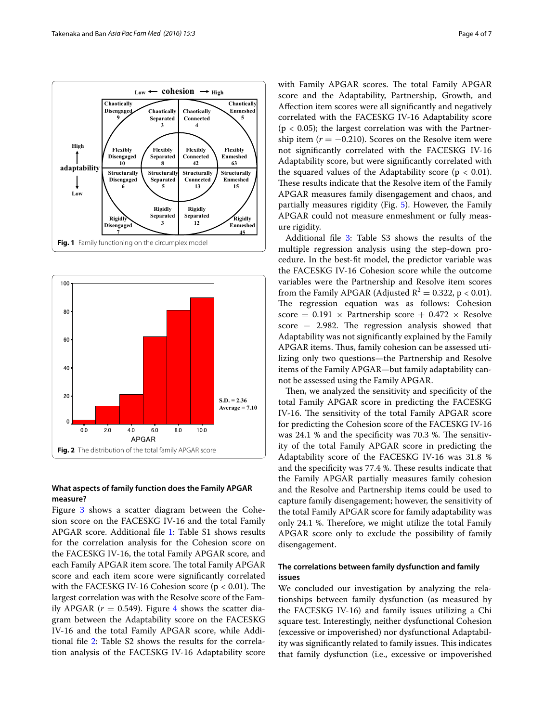

<span id="page-3-0"></span>

## <span id="page-3-1"></span>**What aspects of family function does the Family APGAR measure?**

Figure [3](#page-4-0) shows a scatter diagram between the Cohesion score on the FACESKG IV-16 and the total Family APGAR score. Additional file [1](#page-6-10): Table S1 shows results for the correlation analysis for the Cohesion score on the FACESKG IV-16, the total Family APGAR score, and each Family APGAR item score. The total Family APGAR score and each item score were significantly correlated with the FACESKG IV-16 Cohesion score ( $p < 0.01$ ). The largest correlation was with the Resolve score of the Family APGAR ( $r = 0.549$  $r = 0.549$  $r = 0.549$ ). Figure 4 shows the scatter diagram between the Adaptability score on the FACESKG IV-16 and the total Family APGAR score, while Additional file [2:](#page-6-11) Table S2 shows the results for the correlation analysis of the FACESKG IV-16 Adaptability score with Family APGAR scores. The total Family APGAR score and the Adaptability, Partnership, Growth, and Affection item scores were all significantly and negatively correlated with the FACESKG IV-16 Adaptability score  $(p < 0.05)$ ; the largest correlation was with the Partnership item  $(r = -0.210)$ . Scores on the Resolve item were not significantly correlated with the FACESKG IV-16 Adaptability score, but were significantly correlated with the squared values of the Adaptability score ( $p < 0.01$ ). These results indicate that the Resolve item of the Family APGAR measures family disengagement and chaos, and partially measures rigidity (Fig. [5\)](#page-5-0). However, the Family APGAR could not measure enmeshment or fully measure rigidity.

Additional file [3](#page-6-12): Table S3 shows the results of the multiple regression analysis using the step-down procedure. In the best-fit model, the predictor variable was the FACESKG IV-16 Cohesion score while the outcome variables were the Partnership and Resolve item scores from the Family APGAR (Adjusted  $R^2 = 0.322$ , p < 0.01). The regression equation was as follows: Cohesion score =  $0.191 \times$  Partnership score +  $0.472 \times$  Resolve score - 2.982. The regression analysis showed that Adaptability was not significantly explained by the Family APGAR items. Thus, family cohesion can be assessed utilizing only two questions—the Partnership and Resolve items of the Family APGAR—but family adaptability cannot be assessed using the Family APGAR.

Then, we analyzed the sensitivity and specificity of the total Family APGAR score in predicting the FACESKG IV-16. The sensitivity of the total Family APGAR score for predicting the Cohesion score of the FACESKG IV-16 was 24.1 % and the specificity was 70.3 %. The sensitivity of the total Family APGAR score in predicting the Adaptability score of the FACESKG IV-16 was 31.8 % and the specificity was 77.4 %. These results indicate that the Family APGAR partially measures family cohesion and the Resolve and Partnership items could be used to capture family disengagement; however, the sensitivity of the total Family APGAR score for family adaptability was only 24.1 %. Therefore, we might utilize the total Family APGAR score only to exclude the possibility of family disengagement.

## **The correlations between family dysfunction and family issues**

We concluded our investigation by analyzing the relationships between family dysfunction (as measured by the FACESKG IV-16) and family issues utilizing a Chi square test. Interestingly, neither dysfunctional Cohesion (excessive or impoverished) nor dysfunctional Adaptability was significantly related to family issues. This indicates that family dysfunction (i.e., excessive or impoverished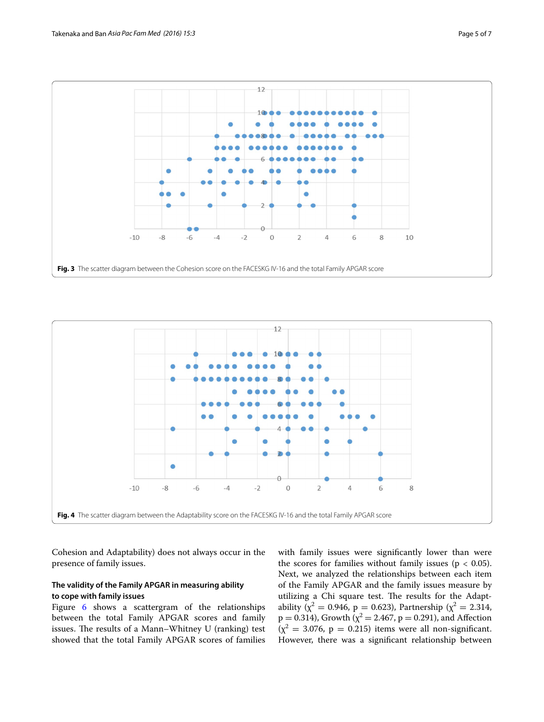

<span id="page-4-0"></span>

<span id="page-4-1"></span>Cohesion and Adaptability) does not always occur in the presence of family issues.

## **The validity of the Family APGAR in measuring ability to cope with family issues**

Figure [6](#page-5-1) shows a scattergram of the relationships between the total Family APGAR scores and family issues. The results of a Mann–Whitney U (ranking) test showed that the total Family APGAR scores of families

with family issues were significantly lower than were the scores for families without family issues ( $p < 0.05$ ). Next, we analyzed the relationships between each item of the Family APGAR and the family issues measure by utilizing a Chi square test. The results for the Adaptability ( $\chi^2 = 0.946$ , p = 0.623), Partnership ( $\chi^2 = 2.314$ ,  $p = 0.314$ ), Growth ( $\chi^2 = 2.467$ ,  $p = 0.291$ ), and Affection  $(\chi^2 = 3.076, p = 0.215)$  items were all non-significant. However, there was a significant relationship between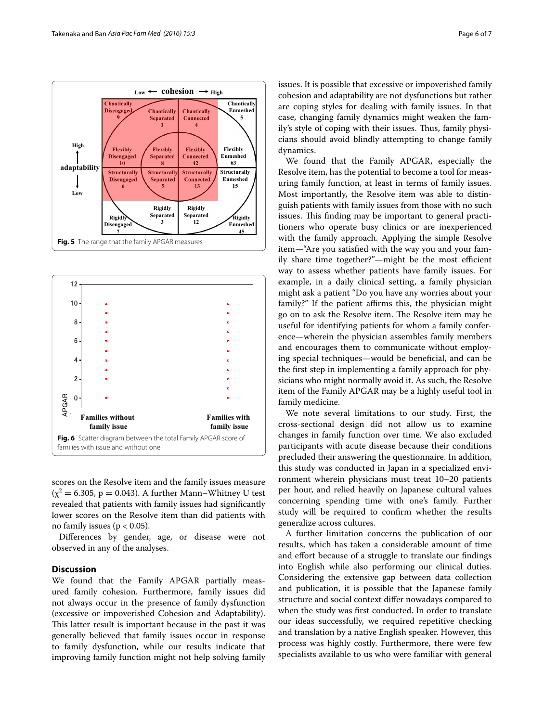

<span id="page-5-0"></span>

<span id="page-5-1"></span>scores on the Resolve item and the family issues measure  $(x^2 = 6.305, p = 0.043)$ . A further Mann–Whitney U test revealed that patients with family issues had significantly lower scores on the Resolve item than did patients with no family issues ( $p < 0.05$ ).

Differences by gender, age, or disease were not observed in any of the analyses.

#### **Discussion**

We found that the Family APGAR partially measured family cohesion. Furthermore, family issues did not always occur in the presence of family dysfunction (excessive or impoverished Cohesion and Adaptability). This latter result is important because in the past it was generally believed that family issues occur in response to family dysfunction, while our results indicate that improving family function might not help solving family issues. It is possible that excessive or impoverished family cohesion and adaptability are not dysfunctions but rather are coping styles for dealing with family issues. In that case, changing family dynamics might weaken the family's style of coping with their issues. Thus, family physicians should avoid blindly attempting to change family dynamics.

We found that the Family APGAR, especially the Resolve item, has the potential to become a tool for measuring family function, at least in terms of family issues. Most importantly, the Resolve item was able to distinguish patients with family issues from those with no such issues. This finding may be important to general practitioners who operate busy clinics or are inexperienced with the family approach. Applying the simple Resolve item—"Are you satisfied with the way you and your family share time together?"—might be the most efficient way to assess whether patients have family issues. For example, in a daily clinical setting, a family physician might ask a patient "Do you have any worries about your family?" If the patient affirms this, the physician might go on to ask the Resolve item. The Resolve item may be useful for identifying patients for whom a family conference—wherein the physician assembles family members and encourages them to communicate without employing special techniques—would be beneficial, and can be the first step in implementing a family approach for physicians who might normally avoid it. As such, the Resolve item of the Family APGAR may be a highly useful tool in family medicine.

We note several limitations to our study. First, the cross-sectional design did not allow us to examine changes in family function over time. We also excluded participants with acute disease because their conditions precluded their answering the questionnaire. In addition, this study was conducted in Japan in a specialized environment wherein physicians must treat 10–20 patients per hour, and relied heavily on Japanese cultural values concerning spending time with one's family. Further study will be required to confirm whether the results generalize across cultures.

A further limitation concerns the publication of our results, which has taken a considerable amount of time and effort because of a struggle to translate our findings into English while also performing our clinical duties. Considering the extensive gap between data collection and publication, it is possible that the Japanese family structure and social context differ nowadays compared to when the study was first conducted. In order to translate our ideas successfully, we required repetitive checking and translation by a native English speaker. However, this process was highly costly. Furthermore, there were few specialists available to us who were familiar with general